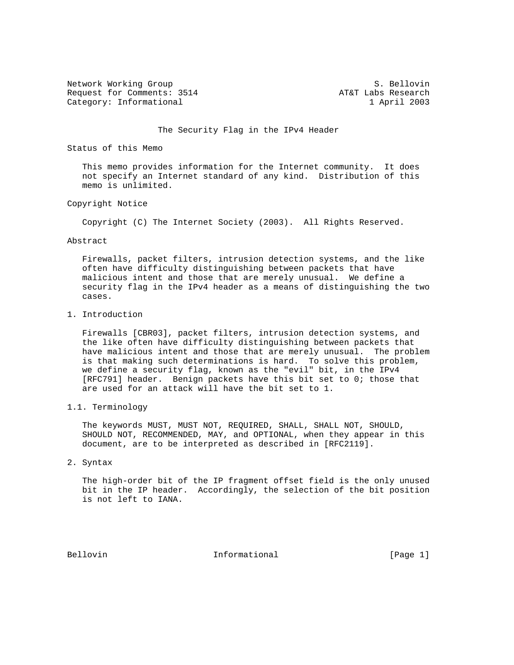Network Working Group S. Bellovin Request for Comments: 3514 AT&T Labs Research Category: Informational 1 April 2003

## The Security Flag in the IPv4 Header

Status of this Memo

 This memo provides information for the Internet community. It does not specify an Internet standard of any kind. Distribution of this memo is unlimited.

## Copyright Notice

Copyright (C) The Internet Society (2003). All Rights Reserved.

## Abstract

 Firewalls, packet filters, intrusion detection systems, and the like often have difficulty distinguishing between packets that have malicious intent and those that are merely unusual. We define a security flag in the IPv4 header as a means of distinguishing the two cases.

1. Introduction

 Firewalls [CBR03], packet filters, intrusion detection systems, and the like often have difficulty distinguishing between packets that have malicious intent and those that are merely unusual. The problem is that making such determinations is hard. To solve this problem, we define a security flag, known as the "evil" bit, in the IPv4 [RFC791] header. Benign packets have this bit set to 0; those that are used for an attack will have the bit set to 1.

1.1. Terminology

 The keywords MUST, MUST NOT, REQUIRED, SHALL, SHALL NOT, SHOULD, SHOULD NOT, RECOMMENDED, MAY, and OPTIONAL, when they appear in this document, are to be interpreted as described in [RFC2119].

2. Syntax

 The high-order bit of the IP fragment offset field is the only unused bit in the IP header. Accordingly, the selection of the bit position is not left to IANA.

Bellovin **Informational** Informational [Page 1]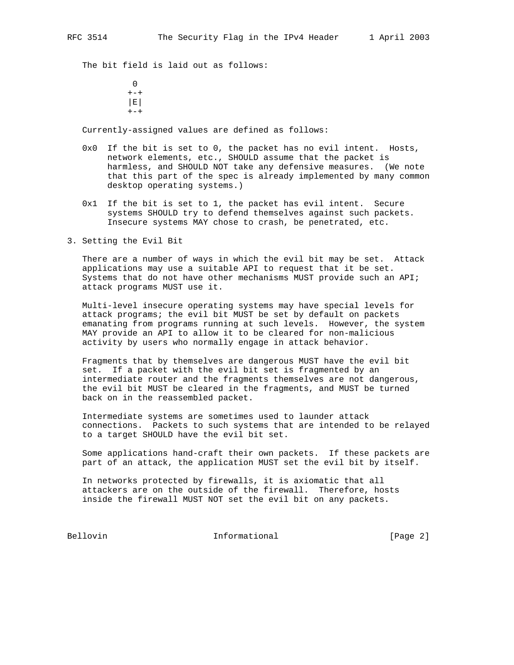The bit field is laid out as follows:

**0**  $+ - +$  |E|  $+-+$ 

Currently-assigned values are defined as follows:

- 0x0 If the bit is set to 0, the packet has no evil intent. Hosts, network elements, etc., SHOULD assume that the packet is harmless, and SHOULD NOT take any defensive measures. (We note that this part of the spec is already implemented by many common desktop operating systems.)
- 0x1 If the bit is set to 1, the packet has evil intent. Secure systems SHOULD try to defend themselves against such packets. Insecure systems MAY chose to crash, be penetrated, etc.
- 3. Setting the Evil Bit

 There are a number of ways in which the evil bit may be set. Attack applications may use a suitable API to request that it be set. Systems that do not have other mechanisms MUST provide such an API; attack programs MUST use it.

 Multi-level insecure operating systems may have special levels for attack programs; the evil bit MUST be set by default on packets emanating from programs running at such levels. However, the system MAY provide an API to allow it to be cleared for non-malicious activity by users who normally engage in attack behavior.

 Fragments that by themselves are dangerous MUST have the evil bit set. If a packet with the evil bit set is fragmented by an intermediate router and the fragments themselves are not dangerous, the evil bit MUST be cleared in the fragments, and MUST be turned back on in the reassembled packet.

 Intermediate systems are sometimes used to launder attack connections. Packets to such systems that are intended to be relayed to a target SHOULD have the evil bit set.

 Some applications hand-craft their own packets. If these packets are part of an attack, the application MUST set the evil bit by itself.

 In networks protected by firewalls, it is axiomatic that all attackers are on the outside of the firewall. Therefore, hosts inside the firewall MUST NOT set the evil bit on any packets.

Bellovin **Informational** Informational [Page 2]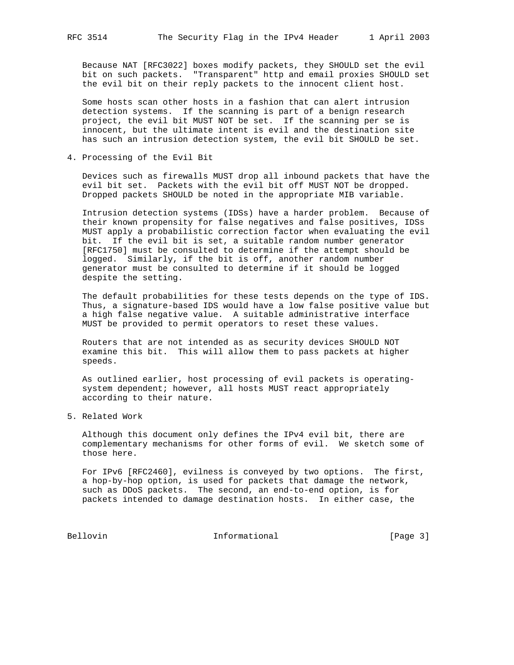Because NAT [RFC3022] boxes modify packets, they SHOULD set the evil bit on such packets. "Transparent" http and email proxies SHOULD set the evil bit on their reply packets to the innocent client host.

 Some hosts scan other hosts in a fashion that can alert intrusion detection systems. If the scanning is part of a benign research project, the evil bit MUST NOT be set. If the scanning per se is innocent, but the ultimate intent is evil and the destination site has such an intrusion detection system, the evil bit SHOULD be set.

4. Processing of the Evil Bit

 Devices such as firewalls MUST drop all inbound packets that have the evil bit set. Packets with the evil bit off MUST NOT be dropped. Dropped packets SHOULD be noted in the appropriate MIB variable.

 Intrusion detection systems (IDSs) have a harder problem. Because of their known propensity for false negatives and false positives, IDSs MUST apply a probabilistic correction factor when evaluating the evil bit. If the evil bit is set, a suitable random number generator [RFC1750] must be consulted to determine if the attempt should be logged. Similarly, if the bit is off, another random number generator must be consulted to determine if it should be logged despite the setting.

 The default probabilities for these tests depends on the type of IDS. Thus, a signature-based IDS would have a low false positive value but a high false negative value. A suitable administrative interface MUST be provided to permit operators to reset these values.

 Routers that are not intended as as security devices SHOULD NOT examine this bit. This will allow them to pass packets at higher speeds.

 As outlined earlier, host processing of evil packets is operating system dependent; however, all hosts MUST react appropriately according to their nature.

5. Related Work

 Although this document only defines the IPv4 evil bit, there are complementary mechanisms for other forms of evil. We sketch some of those here.

 For IPv6 [RFC2460], evilness is conveyed by two options. The first, a hop-by-hop option, is used for packets that damage the network, such as DDoS packets. The second, an end-to-end option, is for packets intended to damage destination hosts. In either case, the

Bellovin 1nformational [Page 3]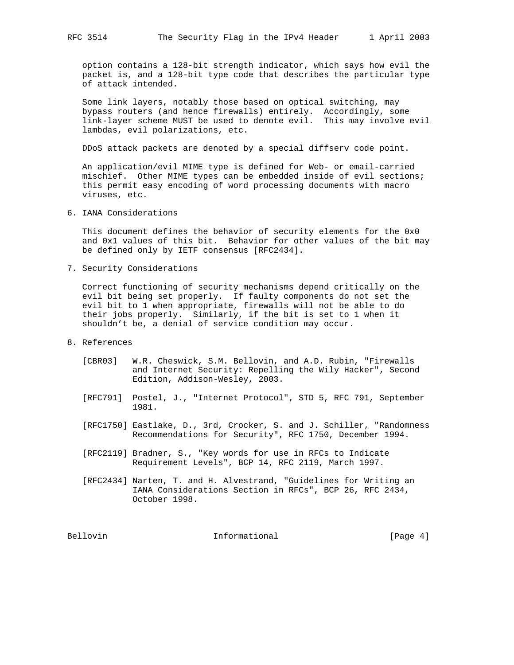option contains a 128-bit strength indicator, which says how evil the packet is, and a 128-bit type code that describes the particular type of attack intended.

 Some link layers, notably those based on optical switching, may bypass routers (and hence firewalls) entirely. Accordingly, some link-layer scheme MUST be used to denote evil. This may involve evil lambdas, evil polarizations, etc.

DDoS attack packets are denoted by a special diffserv code point.

 An application/evil MIME type is defined for Web- or email-carried mischief. Other MIME types can be embedded inside of evil sections; this permit easy encoding of word processing documents with macro viruses, etc.

6. IANA Considerations

 This document defines the behavior of security elements for the 0x0 and 0x1 values of this bit. Behavior for other values of the bit may be defined only by IETF consensus [RFC2434].

7. Security Considerations

 Correct functioning of security mechanisms depend critically on the evil bit being set properly. If faulty components do not set the evil bit to 1 when appropriate, firewalls will not be able to do their jobs properly. Similarly, if the bit is set to 1 when it shouldn't be, a denial of service condition may occur.

- 8. References
	- [CBR03] W.R. Cheswick, S.M. Bellovin, and A.D. Rubin, "Firewalls and Internet Security: Repelling the Wily Hacker", Second Edition, Addison-Wesley, 2003.
	- [RFC791] Postel, J., "Internet Protocol", STD 5, RFC 791, September 1981.
	- [RFC1750] Eastlake, D., 3rd, Crocker, S. and J. Schiller, "Randomness Recommendations for Security", RFC 1750, December 1994.
	- [RFC2119] Bradner, S., "Key words for use in RFCs to Indicate Requirement Levels", BCP 14, RFC 2119, March 1997.
	- [RFC2434] Narten, T. and H. Alvestrand, "Guidelines for Writing an IANA Considerations Section in RFCs", BCP 26, RFC 2434, October 1998.

Bellovin **Informational** Informational [Page 4]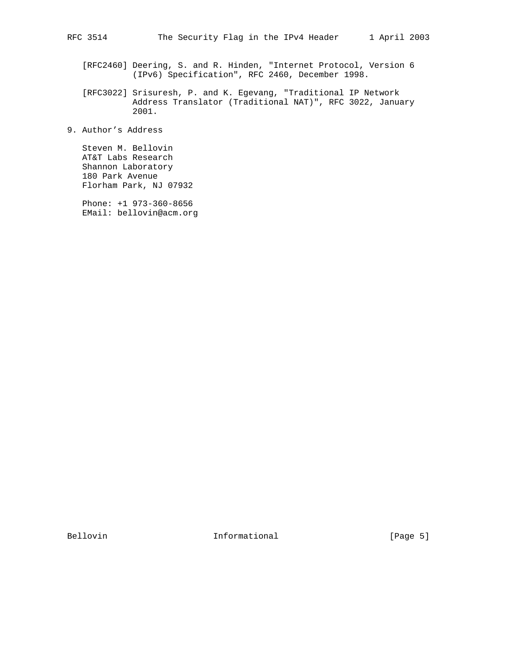- [RFC2460] Deering, S. and R. Hinden, "Internet Protocol, Version 6 (IPv6) Specification", RFC 2460, December 1998.
- [RFC3022] Srisuresh, P. and K. Egevang, "Traditional IP Network Address Translator (Traditional NAT)", RFC 3022, January 2001.
- 9. Author's Address

 Steven M. Bellovin AT&T Labs Research Shannon Laboratory 180 Park Avenue Florham Park, NJ 07932

 Phone: +1 973-360-8656 EMail: bellovin@acm.org

Bellovin 1nformational [Page 5]